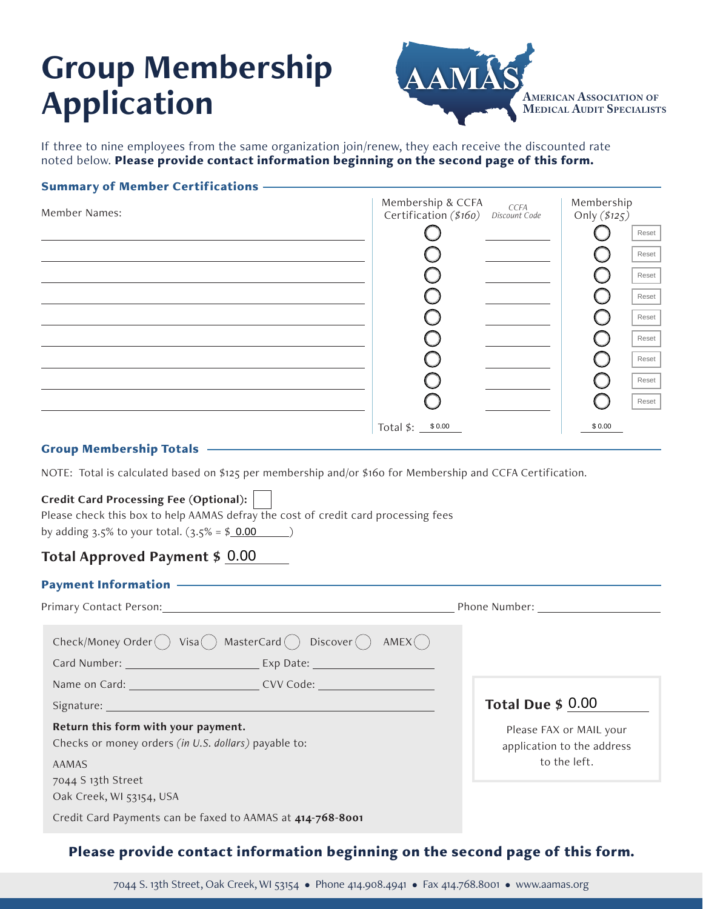# **Group Membership APPLICATION APPLICATION**



If three to nine employees from the same organization join/renew, they each receive the discounted rate noted below. Please provide contact information beginning on the second page of this form.

#### Summary of Member Certifications

| Member Names:                                                                                    |                                                                                                             | Membership & CCFA<br>Certification (\$160) | CCFA<br>Discount Code | Membership<br>Only $(\$125)$ |       |
|--------------------------------------------------------------------------------------------------|-------------------------------------------------------------------------------------------------------------|--------------------------------------------|-----------------------|------------------------------|-------|
|                                                                                                  |                                                                                                             |                                            |                       |                              | Reset |
|                                                                                                  |                                                                                                             |                                            |                       |                              | Reset |
|                                                                                                  |                                                                                                             |                                            |                       |                              | Reset |
|                                                                                                  |                                                                                                             |                                            |                       |                              | Reset |
|                                                                                                  |                                                                                                             | $\bigcirc$                                 |                       |                              | Reset |
|                                                                                                  |                                                                                                             |                                            |                       |                              | Reset |
|                                                                                                  |                                                                                                             | $\frac{0}{0}$                              |                       |                              | Reset |
|                                                                                                  |                                                                                                             |                                            |                       |                              | Reset |
|                                                                                                  |                                                                                                             |                                            |                       |                              | Reset |
|                                                                                                  |                                                                                                             |                                            |                       | \$0.00                       |       |
|                                                                                                  |                                                                                                             | Total \$: \$0.00                           |                       |                              |       |
|                                                                                                  |                                                                                                             |                                            |                       |                              |       |
|                                                                                                  | NOTE: Total is calculated based on \$125 per membership and/or \$160 for Membership and CCFA Certification. |                                            |                       |                              |       |
| <b>Credit Card Processing Fee (Optional):</b><br>by adding 3.5% to your total. $(3.5\% = $ 0.00$ | Please check this box to help AAMAS defray the cost of credit card processing fees                          |                                            |                       |                              |       |
| Total Approved Payment \$ 0.00                                                                   |                                                                                                             |                                            |                       |                              |       |
|                                                                                                  |                                                                                                             |                                            |                       |                              |       |
|                                                                                                  |                                                                                                             |                                            |                       |                              |       |
|                                                                                                  | $Check/Money Order() \; Visa() MasterCard() \; Discover() \; AMEX()$                                        |                                            |                       |                              |       |
|                                                                                                  |                                                                                                             |                                            |                       |                              |       |
|                                                                                                  | Name on Card: CVV Code:                                                                                     |                                            |                       |                              |       |
| Signature:                                                                                       |                                                                                                             |                                            | Total Due $$0.00$     |                              |       |

#### Group Membership Totals

| Credit Card Processing Fee (Optional): |  |
|----------------------------------------|--|
|----------------------------------------|--|

### **Total Approved Payment \$**  0.00

#### Payment Information

| Primary Contact Person: North States and States and States and States and States and States and States and States and States and States and States and States and States and States and States and States and States and State | Phone Number: _________________                                       |
|--------------------------------------------------------------------------------------------------------------------------------------------------------------------------------------------------------------------------------|-----------------------------------------------------------------------|
| $Check/Money Order() Visa() MasterCard() Discover() AMEX()$                                                                                                                                                                    |                                                                       |
| Name on Card: _________________________________CVV Code: _______________________                                                                                                                                               |                                                                       |
|                                                                                                                                                                                                                                | Total Due $$0.00$                                                     |
| Return this form with your payment.<br>Checks or money orders (in U.S. dollars) payable to:<br><b>AAMAS</b><br>7044 S 13th Street                                                                                              | Please FAX or MAIL your<br>application to the address<br>to the left. |
| Oak Creek, WI 53154, USA                                                                                                                                                                                                       |                                                                       |

Credit Card Payments can be faxed to AAMAS at **414-768-8001**

### Please provide contact information beginning on the second page of this form.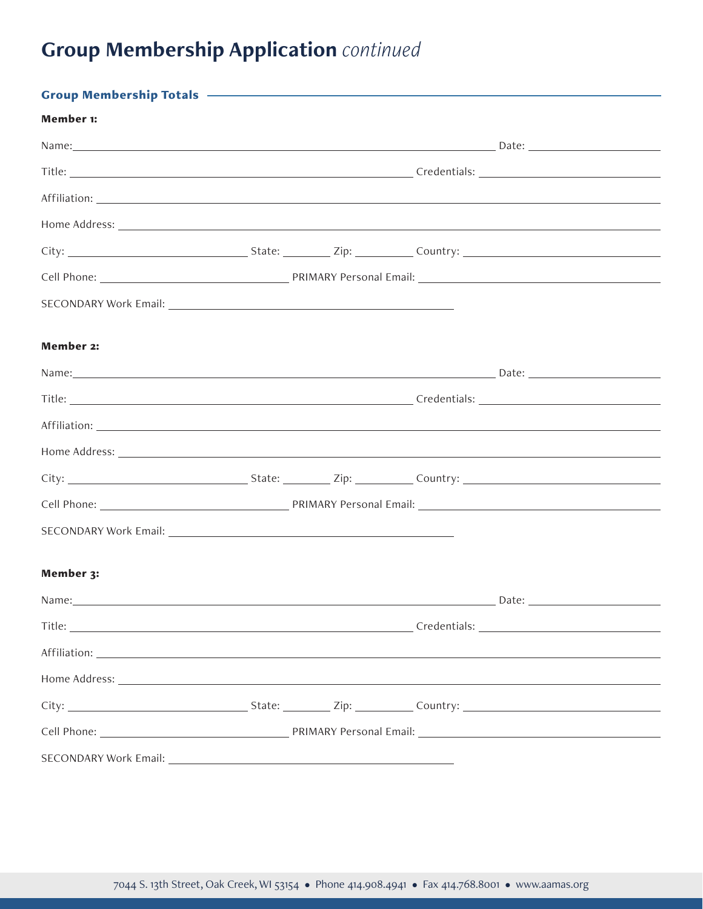# **Group Membership Application** *continued*

| Group Membership Totals ————————————————————————————                                                                                                                                                                           |  |  |  |              |  |
|--------------------------------------------------------------------------------------------------------------------------------------------------------------------------------------------------------------------------------|--|--|--|--------------|--|
| Member 1:                                                                                                                                                                                                                      |  |  |  |              |  |
| Name: Date: Demonstration of the Contract of the Contract of the Contract of the Contract of the Contract of the Contract of the Contract of the Contract of the Contract of the Contract of the Contract of the Contract of t |  |  |  |              |  |
|                                                                                                                                                                                                                                |  |  |  |              |  |
|                                                                                                                                                                                                                                |  |  |  |              |  |
|                                                                                                                                                                                                                                |  |  |  |              |  |
|                                                                                                                                                                                                                                |  |  |  |              |  |
|                                                                                                                                                                                                                                |  |  |  |              |  |
|                                                                                                                                                                                                                                |  |  |  |              |  |
| <b>Member 2:</b>                                                                                                                                                                                                               |  |  |  |              |  |
|                                                                                                                                                                                                                                |  |  |  |              |  |
|                                                                                                                                                                                                                                |  |  |  |              |  |
|                                                                                                                                                                                                                                |  |  |  |              |  |
|                                                                                                                                                                                                                                |  |  |  |              |  |
|                                                                                                                                                                                                                                |  |  |  |              |  |
|                                                                                                                                                                                                                                |  |  |  |              |  |
|                                                                                                                                                                                                                                |  |  |  |              |  |
| Member 3:                                                                                                                                                                                                                      |  |  |  |              |  |
| Name:                                                                                                                                                                                                                          |  |  |  | Date: $\_\_$ |  |
|                                                                                                                                                                                                                                |  |  |  |              |  |
|                                                                                                                                                                                                                                |  |  |  |              |  |
|                                                                                                                                                                                                                                |  |  |  |              |  |
|                                                                                                                                                                                                                                |  |  |  |              |  |
|                                                                                                                                                                                                                                |  |  |  |              |  |
|                                                                                                                                                                                                                                |  |  |  |              |  |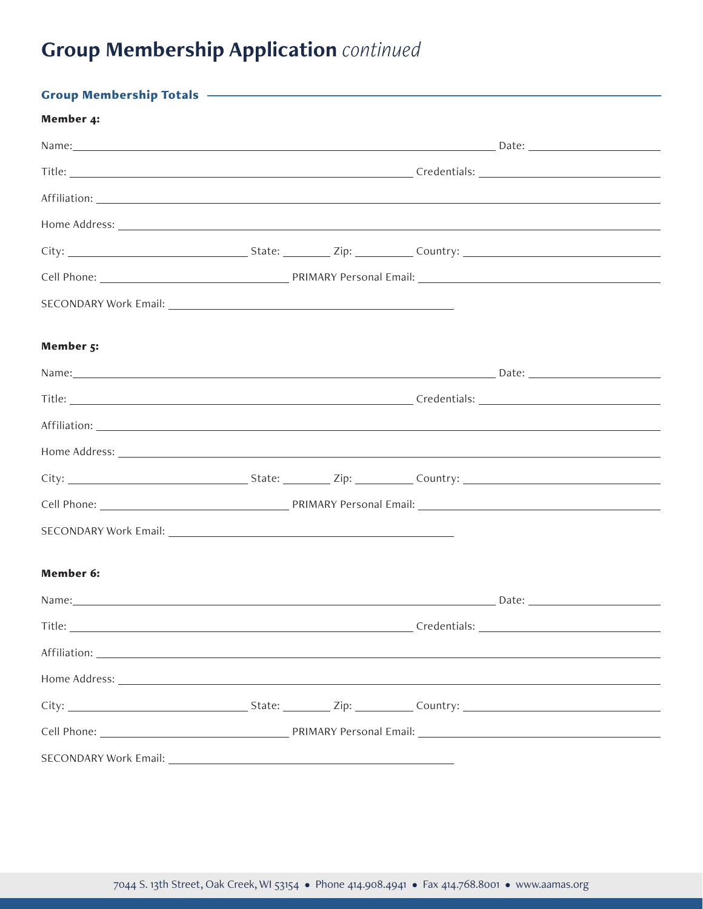# **Group Membership Application** *continued*

| Group Membership Totals ————————————————————————————                                                                                                                                                                                |  |  |  |              |  |
|-------------------------------------------------------------------------------------------------------------------------------------------------------------------------------------------------------------------------------------|--|--|--|--------------|--|
| Member 4:                                                                                                                                                                                                                           |  |  |  |              |  |
| Name: Date: Demonstration of the Contract of the Contract of the Contract of the Contract of the Contract of the Contract of the Contract of the Contract of the Contract of the Contract of the Contract of the Contract of t      |  |  |  |              |  |
|                                                                                                                                                                                                                                     |  |  |  |              |  |
| Affiliation: <u>Affiliation</u> Contract Contract Contract Contract Contract Contract Contract Contract Contract Contract Contract Contract Contract Contract Contract Contract Contract Contract Contract Contract Contract Contra |  |  |  |              |  |
|                                                                                                                                                                                                                                     |  |  |  |              |  |
|                                                                                                                                                                                                                                     |  |  |  |              |  |
|                                                                                                                                                                                                                                     |  |  |  |              |  |
|                                                                                                                                                                                                                                     |  |  |  |              |  |
| Member <sub>5</sub> :                                                                                                                                                                                                               |  |  |  |              |  |
|                                                                                                                                                                                                                                     |  |  |  |              |  |
|                                                                                                                                                                                                                                     |  |  |  |              |  |
|                                                                                                                                                                                                                                     |  |  |  |              |  |
|                                                                                                                                                                                                                                     |  |  |  |              |  |
|                                                                                                                                                                                                                                     |  |  |  |              |  |
|                                                                                                                                                                                                                                     |  |  |  |              |  |
|                                                                                                                                                                                                                                     |  |  |  |              |  |
| Member 6:                                                                                                                                                                                                                           |  |  |  |              |  |
| Name:                                                                                                                                                                                                                               |  |  |  | Date: $\_\_$ |  |
|                                                                                                                                                                                                                                     |  |  |  |              |  |
|                                                                                                                                                                                                                                     |  |  |  |              |  |
|                                                                                                                                                                                                                                     |  |  |  |              |  |
|                                                                                                                                                                                                                                     |  |  |  |              |  |
|                                                                                                                                                                                                                                     |  |  |  |              |  |
|                                                                                                                                                                                                                                     |  |  |  |              |  |